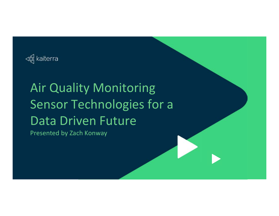

# Air Quality Monitoring Sensor Technologies for a Data Driven Future

Presented by Zach Konway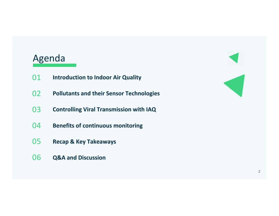# Agenda

- 01**Introduction to Indoor Air Quality**
- 02**Pollutants and their Sensor Technologies**
- 03**Controlling Viral Transmission with IAQ**
- 04**Benefits of continuous monitoring**
- 05 **Recap & Key Takeaways**
- 06**Q&A and Discussion**

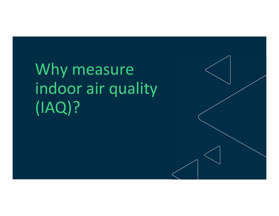Why measure indoor air quality (IAQ)?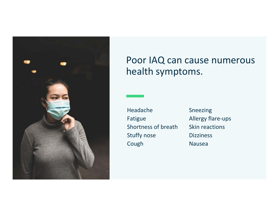

# Poor IAQ can cause numerous health symptoms.

Headache Fatigue Shortness of breath Stuffy nose Cough

Sneezing Allergy flare-ups Skin reactions**Dizziness** Nausea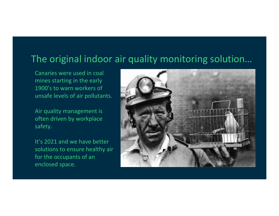# The original indoor air quality monitoring solution…

Canaries were used in coal mines starting in the early 1900's to warn workers of unsafe levels of air pollutants.

Air quality management is often driven by workplace safety.

It's 2021 and we have better solutions to ensure healthy air for the occupants of an enclosed space.

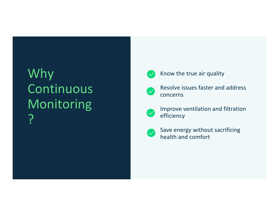# Why Continuous Monitoring ?



### Know the true air quality



Resolve issues faster and address concerns



Improve ventilation and filtration efficiency



Save energy without sacrificing health and comfort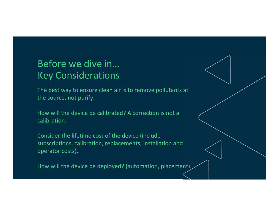# Before we dive in… Key Considerations

The best way to ensure clean air is to remove pollutants at the source, not purify.

How will the device be calibrated? A correction is not a calibration.

Consider the lifetime cost of the device (include subscriptions, calibration, replacements, installation and operator costs).

How will the device be deployed? (automation, placement)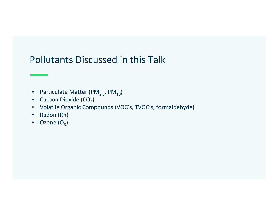# Pollutants Discussed in this Talk

- •Particulate Matter (PM $_{2.5}$ , PM $_{10}$ )
- $\bullet$ • Carbon Dioxide (CO $_2$ )
- Volatile Organic Compounds (VOC's, TVOC's, formaldehyde)
- $\bullet$ Radon (Rn)
- $\bullet$   $\,$  Ozone (O $_{3})$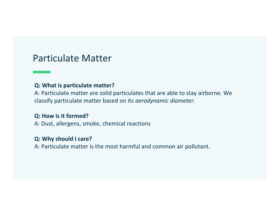### Particulate Matter

#### **Q: What is particulate matter?**

A: Particulate matter are solid particulates that are able to stay airborne. We classify particulate matter based on its *aerodynamic diameter*.

### **Q: How is it formed?**

A: Dust, allergens, smoke, chemical reactions

### **Q: Why should I care?**

A: Particulate matter is the most harmful and common air pollutant.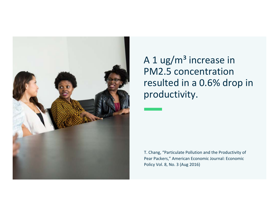

A 1 ug/ $m<sup>3</sup>$  increase in PM2.5 concentration resulted in a 0.6% drop in productivity.

T. Chang, "Particulate Pollution and the Productivity of Pear Packers," American Economic Journal: Economic Policy Vol. 8, No. 3 (Aug 2016)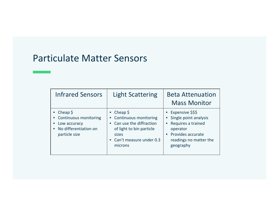# Particulate Matter Sensors

| <b>Infrared Sensors</b>                                                                            | <b>Light Scattering</b>                                                                                                                                     | <b>Beta Attenuation</b><br><b>Mass Monitor</b>                                                                                          |
|----------------------------------------------------------------------------------------------------|-------------------------------------------------------------------------------------------------------------------------------------------------------------|-----------------------------------------------------------------------------------------------------------------------------------------|
| Cheap \$<br><b>Continuous monitoring</b><br>Low accuracy<br>No differentiation on<br>particle size | Cheap $\frac{1}{2}$<br><b>Continuous monitoring</b><br>Can use the diffraction<br>of light to bin particle<br>sizes<br>• Can't measure under 0.3<br>microns | Expensive \$\$\$<br>Single point analysis<br>Requires a trained<br>operator<br>Provides accurate<br>readings no matter the<br>geography |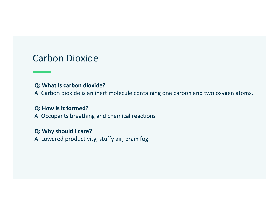# Carbon Dioxide

### **Q: What is carbon dioxide?**

A: Carbon dioxide is an inert molecule containing one carbon and two oxygen atoms.

### **Q: How is it formed?**

A: Occupants breathing and chemical reactions

### **Q: Why should I care?**

A: Lowered productivity, stuffy air, brain fog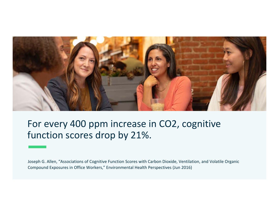

# For every 400 ppm increase in CO2, cognitive function scores drop by 21%.

Joseph G. Allen, "Associations of Cognitive Function Scores with Carbon Dioxide, Ventilation, and Volatile Organic Compound Exposures in Office Workers," Environmental Health Perspectives (Jun 2016)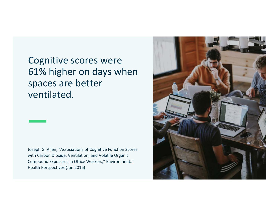Cognitive scores were 61% higher on days when spaces are better ventilated.

Joseph G. Allen, "Associations of Cognitive Function Scores with Carbon Dioxide, Ventilation, and Volatile Organic Compound Exposures in Office Workers," Environmental Health Perspectives (Jun 2016)

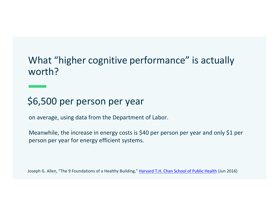# What "higher cognitive performance" is actually worth?

# \$6,500 per person per year

on average, using data from the Department of Labor.

Meanwhile, the increase in energy costs is \$40 per person per year and only \$1 per person per year for energy efficient systems.

Joseph G. Allen, "The 9 Foundations of a Healthy Building," Harvard T.H. Chan School of Public Health (Jun 2016)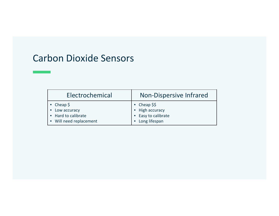## Carbon Dioxide Sensors

| Electrochemical         | <b>Non-Dispersive Infrared</b> |  |
|-------------------------|--------------------------------|--|
| • Cheap $\zeta$         | • Cheap $$5$                   |  |
| • Low accuracy          | • High accuracy                |  |
| • Hard to calibrate     | • Easy to calibrate            |  |
| • Will need replacement | • Long lifespan                |  |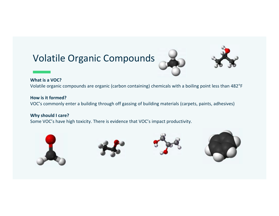# Volatile Organic Compounds





#### **What is a VOC?**

Volatile organic compounds are organic (carbon containing) chemicals with a boiling point less than 482°F

#### **How is it formed?**

VOC's commonly enter a building through off gassing of building materials (carpets, paints, adhesives)

#### **Why should I care?**

Some VOC's have high toxicity. There is evidence that VOC's impact productivity.







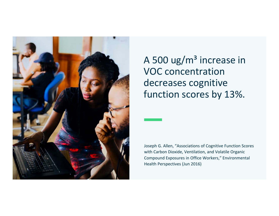

A 500 ug/ $m<sup>3</sup>$  increase in VOC concentration decreases cognitive function scores by 13%.

Joseph G. Allen, "Associations of Cognitive Function Scores with Carbon Dioxide, Ventilation, and Volatile Organic Compound Exposures in Office Workers," Environmental Health Perspectives (Jun 2016)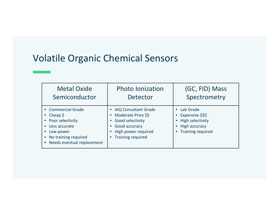# Volatile Organic Chemical Sensors

| <b>Metal Oxide</b>                                                                                                                                  | <b>Photo lonization</b>                                                                                                                  | (GC, FID) Mass                                                                                        |
|-----------------------------------------------------------------------------------------------------------------------------------------------------|------------------------------------------------------------------------------------------------------------------------------------------|-------------------------------------------------------------------------------------------------------|
| Semiconductor                                                                                                                                       | Detector                                                                                                                                 | Spectrometry                                                                                          |
| • Commercial Grade<br>• Cheap $\oint$<br>• Poor selectivity<br>Less accurate<br>Low power<br>• No training required<br>• Needs eventual replacement | • IAQ Consultant Grade<br>• Moderate Price \$\$<br>• Good selectivity<br>• Good accuracy<br>• High power required<br>• Training required | Lab Grade<br>Expensive \$\$\$<br>High selectivity<br><b>High accuracy</b><br><b>Training required</b> |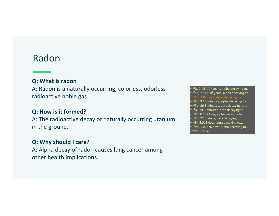### Radon

### **Q: What is radon**

A: Radon is a naturally occurring, colorless, odorless radioactive noble gas.

### **Q: How is it formed?**

A: The radioactive decay of naturally occurring uranium in the ground.

### **Q: Why should I care?**

A: Alpha decay of radon causes lung cancer among other health implications.

 $•<sup>234</sup>U$ , 2.45 $*10<sup>5</sup>$  years, alpha decaying to... •230Th, 7.54\*104 years, alpha decaying to… •218Po, 3.10 minutes, alpha decaying to... •<sup>214</sup>Pb, 26.8 minutes, beta decaying to... •214Bi, 19.9 minutes, beta decaying to... •214Po, 0.1643 ms, alpha decaying to... •210Pb, 22.3 years, beta decaying to... •210Bi, 5.013 days, beta decaying to... •210Po, 138.376 days, alpha decaying to... <sup>206</sup>Pb, stable.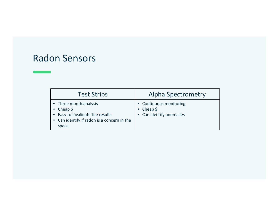### Radon Sensors

| <b>Test Strips</b>                                                                                                                    | <b>Alpha Spectrometry</b>                                          |
|---------------------------------------------------------------------------------------------------------------------------------------|--------------------------------------------------------------------|
| • Three month analysis<br>• Cheap $\zeta$<br>• Easy to invalidate the results<br>• Can identify if radon is a concern in the<br>space | • Continuous monitoring<br>• Cheap $$$<br>• Can identify anomalies |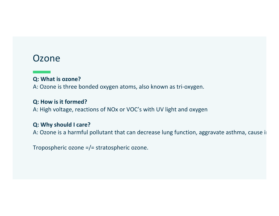## Ozone

### **Q: What is ozone?**

A: Ozone is three bonded oxygen atoms, also known as tri-oxygen.

### **Q: How is it formed?**

A: High voltage, reactions of NOx or VOC's with UV light and oxygen

#### **Q: Why should I care?**

A: Ozone is a harmful pollutant that can decrease lung function, aggravate asthma, cause in

Tropospheric ozone =/= stratospheric ozone.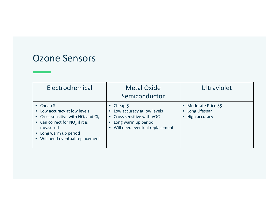### Ozone Sensors

| Electrochemical                                                                                                                                                                                        | <b>Metal Oxide</b><br>Semiconductor                                                                                                    | Ultraviolet                                               |
|--------------------------------------------------------------------------------------------------------------------------------------------------------------------------------------------------------|----------------------------------------------------------------------------------------------------------------------------------------|-----------------------------------------------------------|
| • Cheap $\oint$<br>• Low accuracy at low levels<br>• Cross sensitive with $NO2$ and $Cl2$<br>• Can correct for $NO2$ if it is<br>measured<br>• Long warm up period<br>• Will need eventual replacement | • Cheap $\zeta$<br>• Low accuracy at low levels<br>• Cross sensitive with VOC<br>Long warm up period<br>Will need eventual replacement | • Moderate Price \$\$<br>• Long Lifespan<br>High accuracy |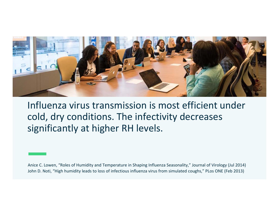

Influenza virus transmission is most efficient under cold, dry conditions. The infectivity decreases significantly at higher RH levels.

Anice C. Lowen, "Roles of Humidity and Temperature in Shaping Influenza Seasonality," Journal of Virology (Jul 2014) John D. Noti, "High humidity leads to loss of infectious influenza virus from simulated coughs," PLos ONE (Feb 2013)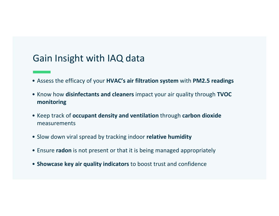# Gain Insight with IAQ data

- Assess the efficacy of your **HVAC's air filtration system** with **PM2.5 readings**
- Know how **disinfectants and cleaners** impact your air quality through **TVOC monitoring**
- Keep track of **occupant density and ventilation** through **carbon dioxide** measurements
- Slow down viral spread by tracking indoor **relative humidity**
- Ensure **radon** is not present or that it is being managed appropriately
- **Showcase key air quality indicators** to boost trust and confidence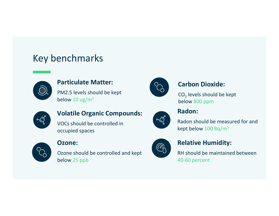# Key benchmarks



### **Particulate Matter:**

PM2.5 levels should be kept below 10  $\mu$ g/m<sup>3</sup>



### **Carbon Dioxide:**

CO $_{\textrm{\tiny{2}}}$  levels should be kept  $\hspace{0.1mm}$ below 800 ppm



### **Volatile Organic Compounds:**

VOCs should be controlled in occupied spaces



### **Ozone:**

Ozone should be controlled and kept below 25 ppb



### **Radon:**

Radon should be measured for and kept below 100 Bq/m3



### **Relative Humidity:**

RH should be maintained between 40-60 percent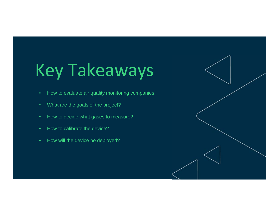# Key Takeaways

- How to evaluate air quality monitoring companies:
- What are the goals of the project?
- How to decide what gases to measure?
- •How to calibrate the device?
- How will the device be deployed?